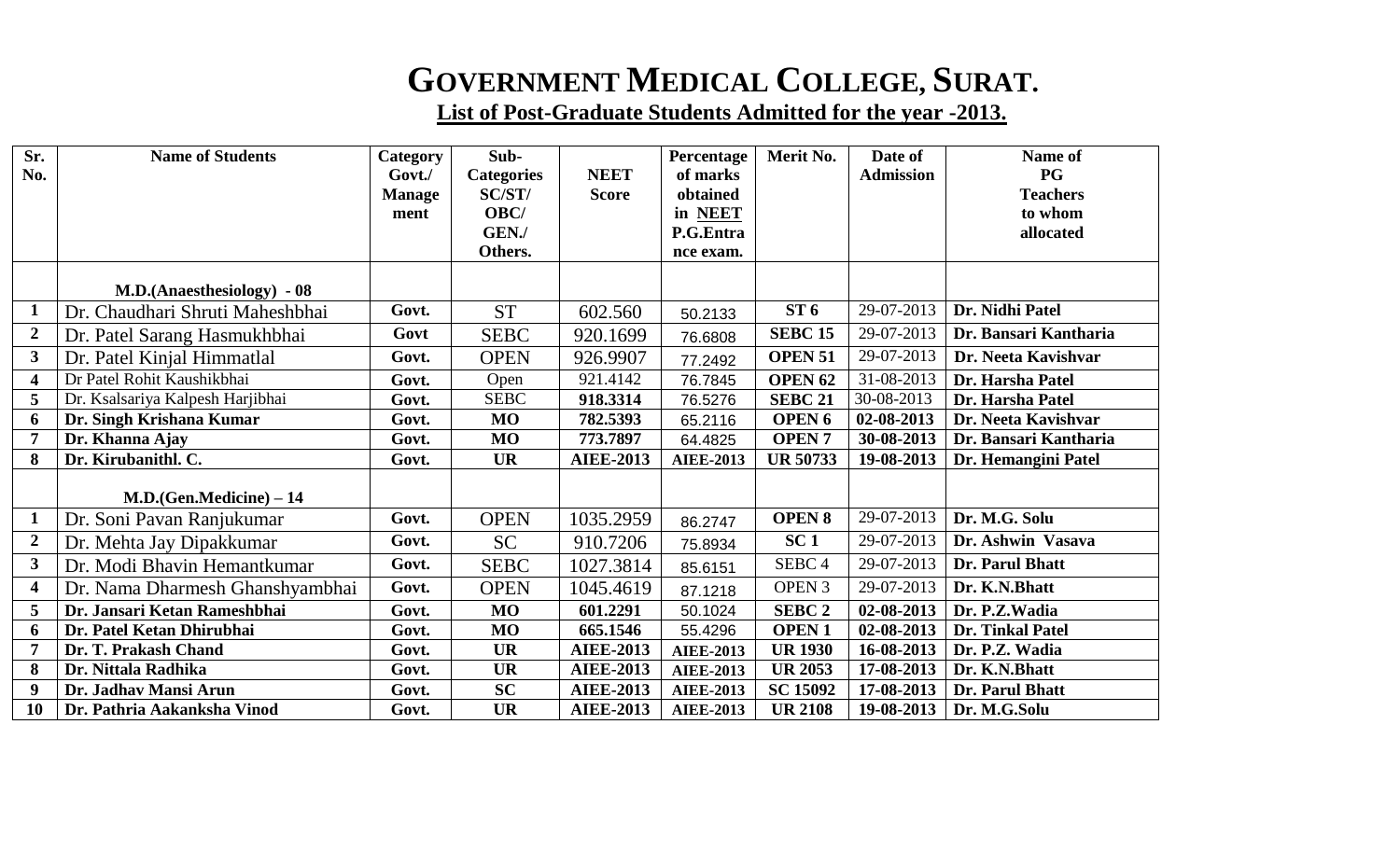## **GOVERNMENT MEDICAL COLLEGE, SURAT.**

**List of Post-Graduate Students Admitted for the year -2013.**

| Sr.                     | <b>Name of Students</b>          | Category      | Sub-              |                  | Percentage       | Merit No.          | Date of          | Name of               |
|-------------------------|----------------------------------|---------------|-------------------|------------------|------------------|--------------------|------------------|-----------------------|
| No.                     |                                  | Govt.         | <b>Categories</b> | <b>NEET</b>      | of marks         |                    | <b>Admission</b> | PG                    |
|                         |                                  | <b>Manage</b> | SC/ST/            | <b>Score</b>     | obtained         |                    |                  | <b>Teachers</b>       |
|                         |                                  | ment          | OBC/              |                  | in NEET          |                    |                  | to whom               |
|                         |                                  |               | GEN./             |                  | P.G.Entra        |                    |                  | allocated             |
|                         |                                  |               | Others.           |                  | nce exam.        |                    |                  |                       |
|                         | M.D.(Anaesthesiology) - 08       |               |                   |                  |                  |                    |                  |                       |
| $\mathbf{1}$            | Dr. Chaudhari Shruti Maheshbhai  | Govt.         | <b>ST</b>         | 602.560          | 50.2133          | ST6                | 29-07-2013       | Dr. Nidhi Patel       |
| $\boldsymbol{2}$        | Dr. Patel Sarang Hasmukhbhai     | Govt          | <b>SEBC</b>       | 920.1699         | 76.6808          | <b>SEBC 15</b>     | 29-07-2013       | Dr. Bansari Kantharia |
| $\mathbf{3}$            | Dr. Patel Kinjal Himmatlal       | Govt.         | <b>OPEN</b>       | 926.9907         | 77.2492          | <b>OPEN 51</b>     | 29-07-2013       | Dr. Neeta Kavishvar   |
| $\overline{\mathbf{4}}$ | Dr Patel Rohit Kaushikbhai       | Govt.         | Open              | 921.4142         | 76.7845          | OPEN <sub>62</sub> | 31-08-2013       | Dr. Harsha Patel      |
| 5                       | Dr. Ksalsariya Kalpesh Harjibhai | Govt.         | <b>SEBC</b>       | 918.3314         | 76.5276          | <b>SEBC 21</b>     | 30-08-2013       | Dr. Harsha Patel      |
| 6                       | Dr. Singh Krishana Kumar         | Govt.         | <b>MO</b>         | 782.5393         | 65.2116          | OPEN <sub>6</sub>  | 02-08-2013       | Dr. Neeta Kavishvar   |
| $\overline{7}$          | Dr. Khanna Ajay                  | Govt.         | <b>MO</b>         | 773.7897         | 64.4825          | <b>OPEN7</b>       | 30-08-2013       | Dr. Bansari Kantharia |
| 8                       | Dr. Kirubanithl. C.              | Govt.         | <b>UR</b>         | <b>AIEE-2013</b> | <b>AIEE-2013</b> | <b>UR 50733</b>    | 19-08-2013       | Dr. Hemangini Patel   |
|                         |                                  |               |                   |                  |                  |                    |                  |                       |
|                         | $M.D.(Gen.Medicine) - 14$        |               |                   |                  |                  |                    |                  |                       |
| $\mathbf{1}$            | Dr. Soni Pavan Ranjukumar        | Govt.         | <b>OPEN</b>       | 1035.2959        | 86.2747          | <b>OPEN 8</b>      | 29-07-2013       | Dr. M.G. Solu         |
| $\boldsymbol{2}$        | Dr. Mehta Jay Dipakkumar         | Govt.         | <b>SC</b>         | 910.7206         | 75.8934          | SC <sub>1</sub>    | 29-07-2013       | Dr. Ashwin Vasava     |
| $\mathbf{3}$            | Dr. Modi Bhavin Hemantkumar      | Govt.         | <b>SEBC</b>       | 1027.3814        | 85.6151          | SEBC <sub>4</sub>  | 29-07-2013       | Dr. Parul Bhatt       |
| $\overline{\mathbf{4}}$ | Dr. Nama Dharmesh Ghanshyambhai  | Govt.         | <b>OPEN</b>       | 1045.4619        | 87.1218          | OPEN 3             | 29-07-2013       | Dr. K.N.Bhatt         |
| 5                       | Dr. Jansari Ketan Rameshbhai     | Govt.         | <b>MO</b>         | 601.2291         | 50.1024          | <b>SEBC 2</b>      | 02-08-2013       | Dr. P.Z.Wadia         |
| 6                       | Dr. Patel Ketan Dhirubhai        | Govt.         | <b>MO</b>         | 665.1546         | 55.4296          | <b>OPEN1</b>       | 02-08-2013       | Dr. Tinkal Patel      |
| $\overline{7}$          | Dr. T. Prakash Chand             | Govt.         | <b>UR</b>         | <b>AIEE-2013</b> | <b>AIEE-2013</b> | <b>UR 1930</b>     | 16-08-2013       | Dr. P.Z. Wadia        |
| 8                       | Dr. Nittala Radhika              | Govt.         | <b>UR</b>         | <b>AIEE-2013</b> | <b>AIEE-2013</b> | <b>UR 2053</b>     | 17-08-2013       | Dr. K.N.Bhatt         |
| 9                       | Dr. Jadhav Mansi Arun            | Govt.         | <b>SC</b>         | <b>AIEE-2013</b> | <b>AIEE-2013</b> | <b>SC 15092</b>    | 17-08-2013       | Dr. Parul Bhatt       |
| 10                      | Dr. Pathria Aakanksha Vinod      | Govt.         | <b>UR</b>         | <b>AIEE-2013</b> | <b>AIEE-2013</b> | <b>UR 2108</b>     | 19-08-2013       | Dr. M.G.Solu          |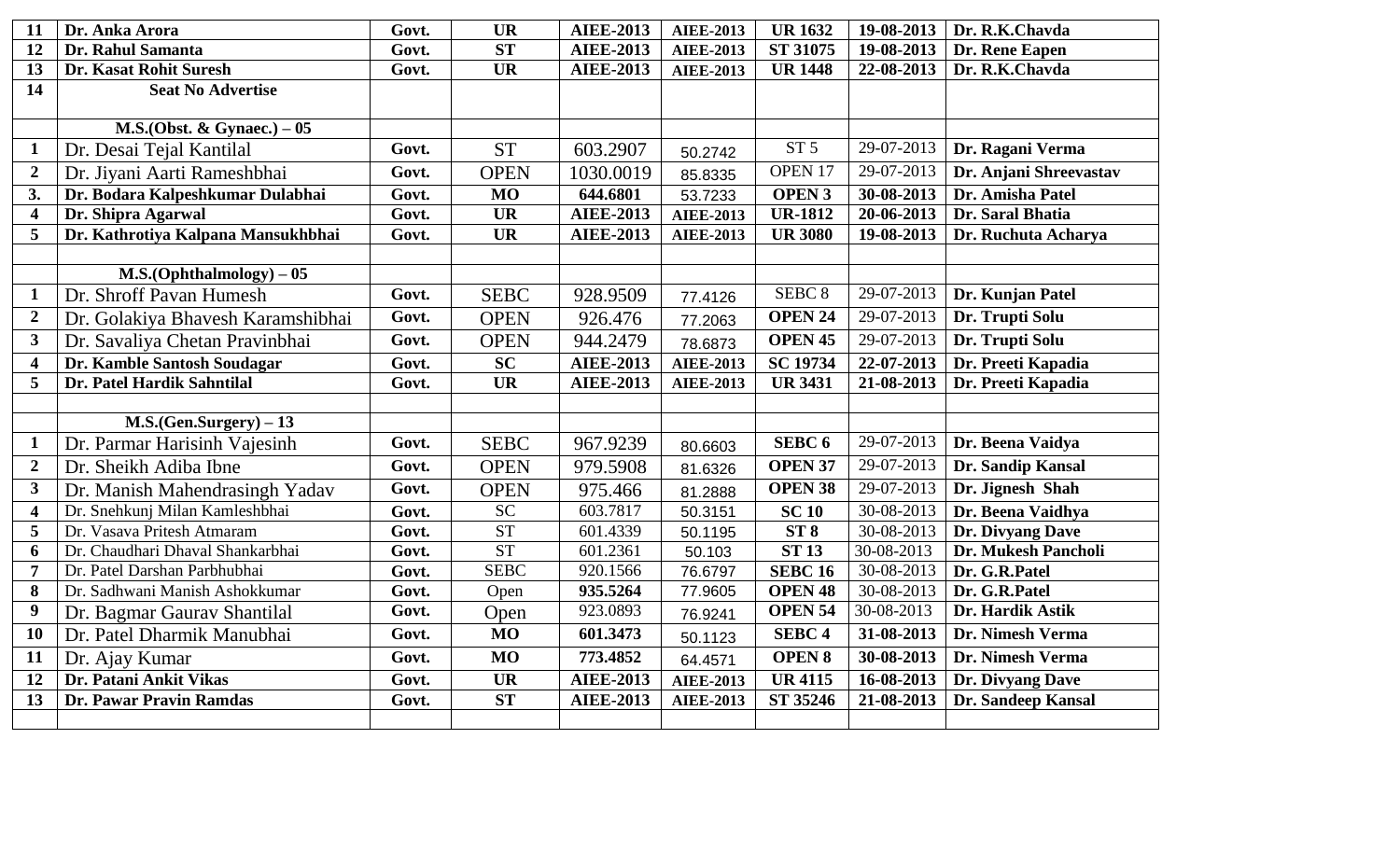| 11                      | Dr. Anka Arora                     | Govt. | <b>UR</b>       | <b>AIEE-2013</b> | <b>AIEE-2013</b> | <b>UR1632</b>      | 19-08-2013 | Dr. R.K.Chavda         |
|-------------------------|------------------------------------|-------|-----------------|------------------|------------------|--------------------|------------|------------------------|
| 12                      | Dr. Rahul Samanta                  | Govt. | ST              | <b>AIEE-2013</b> | <b>AIEE-2013</b> | ST 31075           | 19-08-2013 | Dr. Rene Eapen         |
| 13                      | Dr. Kasat Rohit Suresh             | Govt. | <b>UR</b>       | <b>AIEE-2013</b> | <b>AIEE-2013</b> | <b>UR 1448</b>     | 22-08-2013 | Dr. R.K.Chavda         |
| 14                      | <b>Seat No Advertise</b>           |       |                 |                  |                  |                    |            |                        |
|                         | M.S. (Obst. & Gynaec.) $-05$       |       |                 |                  |                  |                    |            |                        |
| $\mathbf{1}$            | Dr. Desai Tejal Kantilal           | Govt. | <b>ST</b>       | 603.2907         | 50.2742          | ST <sub>5</sub>    | 29-07-2013 | Dr. Ragani Verma       |
| $\overline{2}$          | Dr. Jiyani Aarti Rameshbhai        | Govt. | <b>OPEN</b>     | 1030.0019        | 85.8335          | OPEN 17            | 29-07-2013 | Dr. Anjani Shreevastav |
| 3.                      | Dr. Bodara Kalpeshkumar Dulabhai   | Govt. | <b>MO</b>       | 644.6801         | 53.7233          | <b>OPEN 3</b>      | 30-08-2013 | Dr. Amisha Patel       |
| $\overline{\mathbf{4}}$ | Dr. Shipra Agarwal                 | Govt. | <b>UR</b>       | <b>AIEE-2013</b> | <b>AIEE-2013</b> | <b>UR-1812</b>     | 20-06-2013 | Dr. Saral Bhatia       |
| 5                       | Dr. Kathrotiya Kalpana Mansukhbhai | Govt. | <b>UR</b>       | <b>AIEE-2013</b> | <b>AIEE-2013</b> | <b>UR 3080</b>     | 19-08-2013 | Dr. Ruchuta Acharya    |
|                         |                                    |       |                 |                  |                  |                    |            |                        |
|                         | $M.S.(Ophthalmology) - 05$         |       |                 |                  |                  |                    |            |                        |
| $\mathbf 1$             | Dr. Shroff Pavan Humesh            | Govt. | <b>SEBC</b>     | 928.9509         | 77.4126          | SEBC <sub>8</sub>  | 29-07-2013 | Dr. Kunjan Patel       |
| $\overline{2}$          | Dr. Golakiya Bhavesh Karamshibhai  | Govt. | <b>OPEN</b>     | 926.476          | 77.2063          | <b>OPEN 24</b>     | 29-07-2013 | Dr. Trupti Solu        |
| $\mathbf{3}$            | Dr. Savaliya Chetan Pravinbhai     | Govt. | <b>OPEN</b>     | 944.2479         | 78.6873          | OPEN <sub>45</sub> | 29-07-2013 | Dr. Trupti Solu        |
| $\overline{\mathbf{4}}$ | Dr. Kamble Santosh Soudagar        | Govt. | <b>SC</b>       | <b>AIEE-2013</b> | <b>AIEE-2013</b> | <b>SC 19734</b>    | 22-07-2013 | Dr. Preeti Kapadia     |
| 5                       | Dr. Patel Hardik Sahntilal         | Govt. | <b>UR</b>       | <b>AIEE-2013</b> | <b>AIEE-2013</b> | <b>UR 3431</b>     | 21-08-2013 | Dr. Preeti Kapadia     |
|                         |                                    |       |                 |                  |                  |                    |            |                        |
|                         |                                    |       |                 |                  |                  |                    |            |                        |
|                         | $M.S.(Gen.Surgery) - 13$           |       |                 |                  |                  |                    |            |                        |
| $\mathbf{1}$            | Dr. Parmar Harisinh Vajesinh       | Govt. | <b>SEBC</b>     | 967.9239         | 80.6603          | SEBC <sub>6</sub>  | 29-07-2013 | Dr. Beena Vaidya       |
| $\overline{2}$          | Dr. Sheikh Adiba Ibne              | Govt. | <b>OPEN</b>     | 979.5908         | 81.6326          | <b>OPEN 37</b>     | 29-07-2013 | Dr. Sandip Kansal      |
| 3                       | Dr. Manish Mahendrasingh Yadav     | Govt. | <b>OPEN</b>     | 975.466          | 81.2888          | <b>OPEN 38</b>     | 29-07-2013 | Dr. Jignesh Shah       |
| $\overline{\mathbf{4}}$ | Dr. Snehkunj Milan Kamleshbhai     | Govt. | $\overline{SC}$ | 603.7817         | 50.3151          | <b>SC 10</b>       | 30-08-2013 | Dr. Beena Vaidhya      |
| 5                       | Dr. Vasava Pritesh Atmaram         | Govt. | <b>ST</b>       | 601.4339         | 50.1195          | ST <sub>8</sub>    | 30-08-2013 | Dr. Divyang Dave       |
| 6                       | Dr. Chaudhari Dhaval Shankarbhai   | Govt. | <b>ST</b>       | 601.2361         | 50.103           | <b>ST 13</b>       | 30-08-2013 | Dr. Mukesh Pancholi    |
| $\overline{7}$          | Dr. Patel Darshan Parbhubhai       | Govt. | <b>SEBC</b>     | 920.1566         | 76.6797          | <b>SEBC 16</b>     | 30-08-2013 | Dr. G.R.Patel          |
| 8                       | Dr. Sadhwani Manish Ashokkumar     | Govt. | Open            | 935.5264         | 77.9605          | <b>OPEN 48</b>     | 30-08-2013 | Dr. G.R.Patel          |
| 9                       | Dr. Bagmar Gaurav Shantilal        | Govt. | Open            | 923.0893         | 76.9241          | OPEN <sub>54</sub> | 30-08-2013 | Dr. Hardik Astik       |
| 10                      | Dr. Patel Dharmik Manubhai         | Govt. | <b>MO</b>       | 601.3473         | 50.1123          | SEBC <sub>4</sub>  | 31-08-2013 | Dr. Nimesh Verma       |
| 11                      | Dr. Ajay Kumar                     | Govt. | <b>MO</b>       | 773.4852         | 64.4571          | <b>OPEN 8</b>      | 30-08-2013 | Dr. Nimesh Verma       |
| 12                      | Dr. Patani Ankit Vikas             | Govt. | <b>UR</b>       | <b>AIEE-2013</b> | <b>AIEE-2013</b> | <b>UR4115</b>      | 16-08-2013 | Dr. Divyang Dave       |
| 13                      | Dr. Pawar Pravin Ramdas            | Govt. | <b>ST</b>       | <b>AIEE-2013</b> | <b>AIEE-2013</b> | ST 35246           | 21-08-2013 | Dr. Sandeep Kansal     |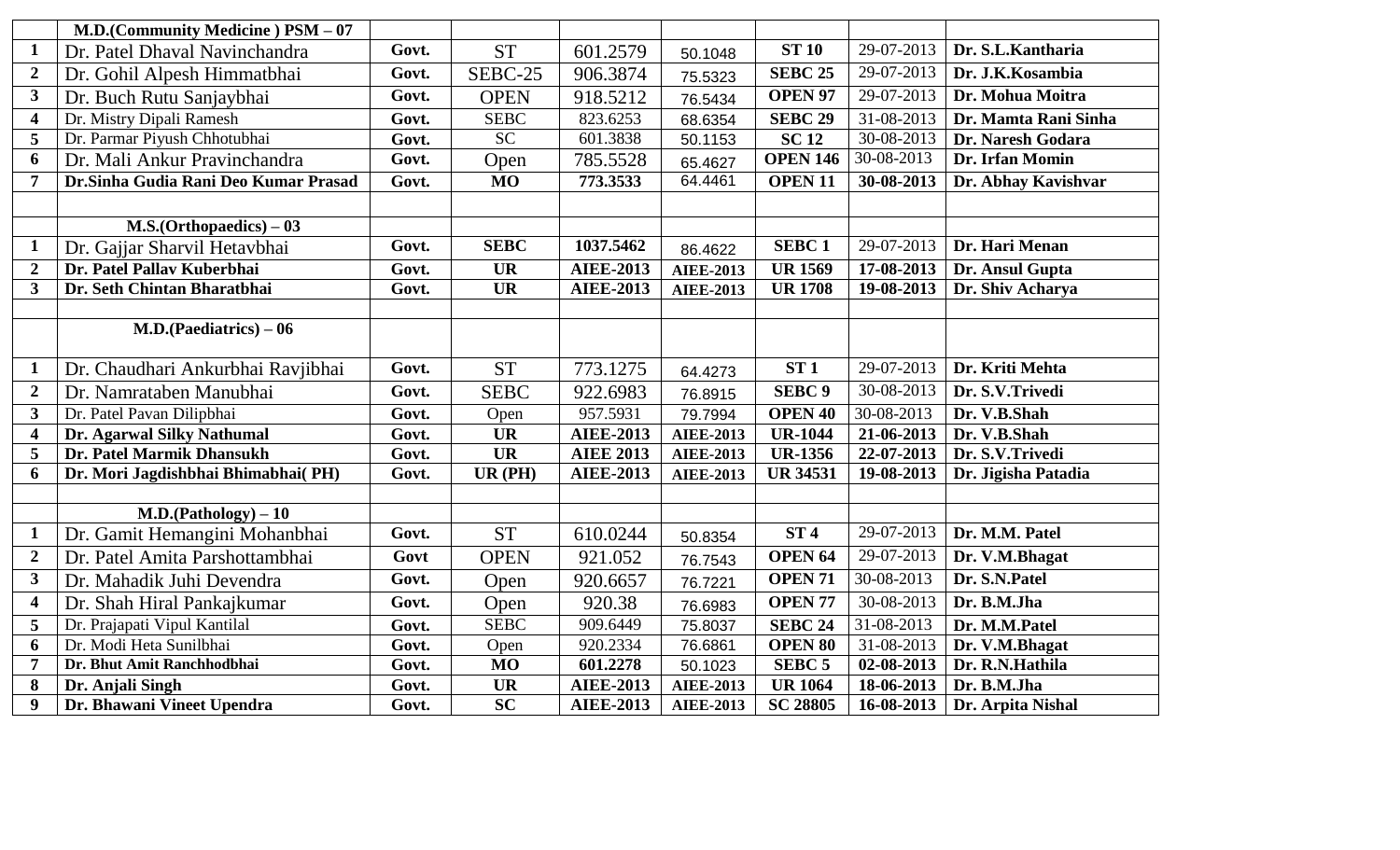|                         | M.D.(Community Medicine) PSM - 07     |       |             |                  |                  |                    |              |                      |
|-------------------------|---------------------------------------|-------|-------------|------------------|------------------|--------------------|--------------|----------------------|
| $\mathbf{1}$            | Dr. Patel Dhaval Navinchandra         | Govt. | <b>ST</b>   | 601.2579         | 50.1048          | <b>ST 10</b>       | 29-07-2013   | Dr. S.L.Kantharia    |
| $\overline{2}$          | Dr. Gohil Alpesh Himmatbhai           | Govt. | SEBC-25     | 906.3874         | 75.5323          | <b>SEBC 25</b>     | 29-07-2013   | Dr. J.K.Kosambia     |
| $\overline{\mathbf{3}}$ | Dr. Buch Rutu Sanjaybhai              | Govt. | <b>OPEN</b> | 918.5212         | 76.5434          | OPEN <sub>97</sub> | 29-07-2013   | Dr. Mohua Moitra     |
| $\overline{\mathbf{4}}$ | Dr. Mistry Dipali Ramesh              | Govt. | <b>SEBC</b> | 823.6253         | 68.6354          | <b>SEBC 29</b>     | 31-08-2013   | Dr. Mamta Rani Sinha |
| 5                       | Dr. Parmar Piyush Chhotubhai          | Govt. | SC          | 601.3838         | 50.1153          | <b>SC12</b>        | 30-08-2013   | Dr. Naresh Godara    |
| 6                       | Dr. Mali Ankur Pravinchandra          | Govt. | Open        | 785.5528         | 65.4627          | <b>OPEN 146</b>    | 30-08-2013   | Dr. Irfan Momin      |
| $\overline{7}$          | Dr. Sinha Gudia Rani Deo Kumar Prasad | Govt. | <b>MO</b>   | 773.3533         | 64.4461          | <b>OPEN 11</b>     | 30-08-2013   | Dr. Abhay Kavishvar  |
|                         |                                       |       |             |                  |                  |                    |              |                      |
|                         | $M.S. (Orthopaedics) - 03$            |       |             |                  |                  |                    |              |                      |
| $\mathbf{1}$            | Dr. Gajjar Sharvil Hetavbhai          | Govt. | <b>SEBC</b> | 1037.5462        | 86.4622          | <b>SEBC1</b>       | 29-07-2013   | Dr. Hari Menan       |
| $\overline{2}$          | Dr. Patel Pallav Kuberbhai            | Govt. | <b>UR</b>   | <b>AIEE-2013</b> | <b>AIEE-2013</b> | <b>UR 1569</b>     | 17-08-2013   | Dr. Ansul Gupta      |
| 3                       | Dr. Seth Chintan Bharatbhai           | Govt. | <b>UR</b>   | <b>AIEE-2013</b> | <b>AIEE-2013</b> | <b>UR 1708</b>     | 19-08-2013   | Dr. Shiv Acharya     |
|                         |                                       |       |             |                  |                  |                    |              |                      |
|                         | $M.D. (Paediatrics) - 06$             |       |             |                  |                  |                    |              |                      |
|                         |                                       |       |             |                  |                  |                    |              |                      |
| $\mathbf 1$             | Dr. Chaudhari Ankurbhai Ravjibhai     | Govt. | <b>ST</b>   | 773.1275         | 64.4273          | ST1                | 29-07-2013   | Dr. Kriti Mehta      |
| $\boldsymbol{2}$        | Dr. Namrataben Manubhai               | Govt. | <b>SEBC</b> | 922.6983         | 76.8915          | <b>SEBC 9</b>      | $30-08-2013$ | Dr. S.V.Trivedi      |
| 3                       | Dr. Patel Pavan Dilipbhai             | Govt. | Open        | 957.5931         | 79.7994          | <b>OPEN 40</b>     | 30-08-2013   | Dr. V.B.Shah         |
| $\overline{\mathbf{4}}$ | Dr. Agarwal Silky Nathumal            | Govt. | <b>UR</b>   | <b>AIEE-2013</b> | <b>AIEE-2013</b> | <b>UR-1044</b>     | 21-06-2013   | Dr. V.B.Shah         |
| 5                       | Dr. Patel Marmik Dhansukh             | Govt. | <b>UR</b>   | <b>AIEE 2013</b> | <b>AIEE-2013</b> | <b>UR-1356</b>     | 22-07-2013   | Dr. S.V.Trivedi      |
| 6                       | Dr. Mori Jagdishbhai Bhimabhai(PH)    | Govt. | $UR$ (PH)   | <b>AIEE-2013</b> | <b>AIEE-2013</b> | <b>UR 34531</b>    | 19-08-2013   | Dr. Jigisha Patadia  |
|                         |                                       |       |             |                  |                  |                    |              |                      |
|                         | $M.D.(Pathology) - 10$                |       |             |                  |                  |                    |              |                      |
| $\mathbf{1}$            | Dr. Gamit Hemangini Mohanbhai         | Govt. | <b>ST</b>   | 610.0244         | 50.8354          | ST <sub>4</sub>    | 29-07-2013   | Dr. M.M. Patel       |
| $\overline{2}$          | Dr. Patel Amita Parshottambhai        | Govt  | <b>OPEN</b> | 921.052          | 76.7543          | OPEN <sub>64</sub> | 29-07-2013   | Dr. V.M.Bhagat       |
| 3                       | Dr. Mahadik Juhi Devendra             | Govt. | Open        | 920.6657         | 76.7221          | <b>OPEN 71</b>     | 30-08-2013   | Dr. S.N.Patel        |
| $\overline{\mathbf{4}}$ | Dr. Shah Hiral Pankajkumar            | Govt. | Open        | 920.38           | 76.6983          | <b>OPEN 77</b>     | 30-08-2013   | Dr. B.M.Jha          |
| 5                       | Dr. Prajapati Vipul Kantilal          | Govt. | <b>SEBC</b> | 909.6449         | 75.8037          | <b>SEBC 24</b>     | 31-08-2013   | Dr. M.M.Patel        |
| 6                       | Dr. Modi Heta Sunilbhai               | Govt. | Open        | 920.2334         | 76.6861          | <b>OPEN 80</b>     | 31-08-2013   | Dr. V.M.Bhagat       |
| $\overline{7}$          | Dr. Bhut Amit Ranchhodbhai            | Govt. | <b>MO</b>   | 601.2278         | 50.1023          | SEBC <sub>5</sub>  | 02-08-2013   | Dr. R.N.Hathila      |
| 8                       | Dr. Anjali Singh                      | Govt. | <b>UR</b>   | <b>AIEE-2013</b> | <b>AIEE-2013</b> | <b>UR 1064</b>     | 18-06-2013   | Dr. B.M.Jha          |
| 9                       | Dr. Bhawani Vineet Upendra            | Govt. | <b>SC</b>   | <b>AIEE-2013</b> | <b>AIEE-2013</b> | <b>SC 28805</b>    | 16-08-2013   | Dr. Arpita Nishal    |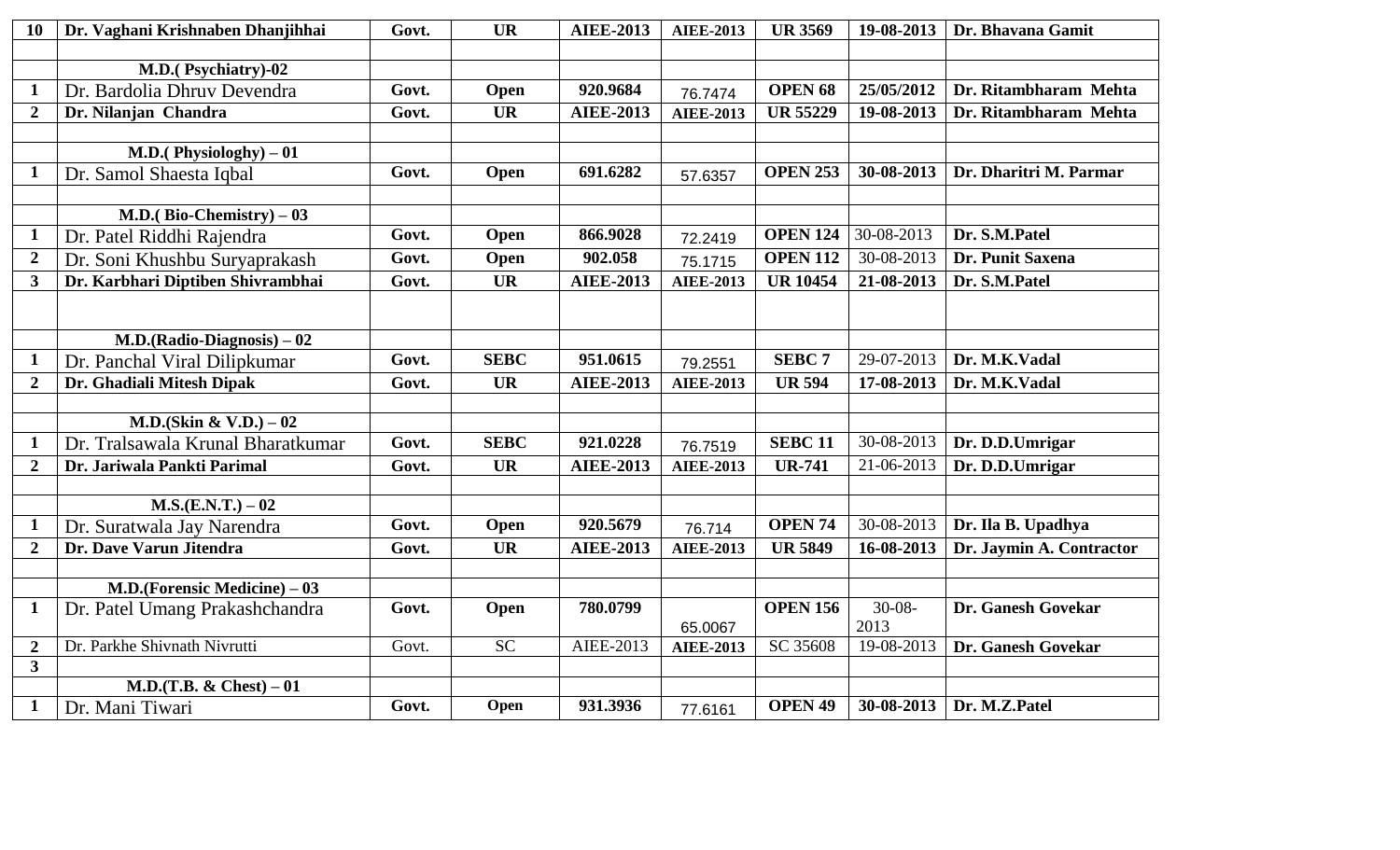| 10                                        | Dr. Vaghani Krishnaben Dhanjihhai  | Govt. | <b>UR</b>   | <b>AIEE-2013</b> | <b>AIEE-2013</b> | <b>UR 3569</b>     | 19-08-2013  | Dr. Bhavana Gamit        |
|-------------------------------------------|------------------------------------|-------|-------------|------------------|------------------|--------------------|-------------|--------------------------|
|                                           |                                    |       |             |                  |                  |                    |             |                          |
|                                           | M.D.(Psychiatry)-02                |       |             |                  |                  |                    |             |                          |
| $\mathbf 1$                               | Dr. Bardolia Dhruv Devendra        | Govt. | Open        | 920.9684         | 76.7474          | OPEN <sub>68</sub> | 25/05/2012  | Dr. Ritambharam Mehta    |
| $\overline{2}$                            | Dr. Nilanjan Chandra               | Govt. | <b>UR</b>   | <b>AIEE-2013</b> | <b>AIEE-2013</b> | <b>UR 55229</b>    | 19-08-2013  | Dr. Ritambharam Mehta    |
|                                           |                                    |       |             |                  |                  |                    |             |                          |
|                                           | M.D.(Physiologhy) $-01$            |       |             |                  |                  |                    |             |                          |
| $\mathbf{1}$                              | Dr. Samol Shaesta Iqbal            | Govt. | Open        | 691.6282         | 57.6357          | <b>OPEN 253</b>    | 30-08-2013  | Dr. Dharitri M. Parmar   |
|                                           |                                    |       |             |                  |                  |                    |             |                          |
|                                           | M.D.(Bio-Chemistry) $-03$          |       |             |                  |                  |                    |             |                          |
| $\mathbf{1}$                              | Dr. Patel Riddhi Rajendra          | Govt. | Open        | 866.9028         | 72.2419          | <b>OPEN 124</b>    | 30-08-2013  | Dr. S.M.Patel            |
| $\overline{2}$                            | Dr. Soni Khushbu Suryaprakash      | Govt. | Open        | 902.058          | 75.1715          | <b>OPEN 112</b>    | 30-08-2013  | Dr. Punit Saxena         |
| $\overline{\mathbf{3}}$                   | Dr. Karbhari Diptiben Shivrambhai  | Govt. | <b>UR</b>   | <b>AIEE-2013</b> | <b>AIEE-2013</b> | <b>UR 10454</b>    | 21-08-2013  | Dr. S.M.Patel            |
|                                           |                                    |       |             |                  |                  |                    |             |                          |
|                                           |                                    |       |             |                  |                  |                    |             |                          |
|                                           | $M.D.(Radio-Diagnosis) - 02$       |       |             |                  |                  |                    |             |                          |
| $\mathbf{1}$                              | Dr. Panchal Viral Dilipkumar       | Govt. | <b>SEBC</b> | 951.0615         | 79.2551          | SEBC <sub>7</sub>  | 29-07-2013  | Dr. M.K.Vadal            |
| $\overline{2}$                            | Dr. Ghadiali Mitesh Dipak          | Govt. | <b>UR</b>   | <b>AIEE-2013</b> | <b>AIEE-2013</b> | <b>UR 594</b>      | 17-08-2013  | Dr. M.K.Vadal            |
|                                           |                                    |       |             |                  |                  |                    |             |                          |
|                                           | M.D.(Skin & V.D.) $-02$            |       |             |                  |                  |                    |             |                          |
| $\mathbf 1$                               | Dr. Tralsawala Krunal Bharatkumar  | Govt. | <b>SEBC</b> | 921.0228         | 76.7519          | <b>SEBC 11</b>     | 30-08-2013  | Dr. D.D.Umrigar          |
| $\overline{2}$                            | Dr. Jariwala Pankti Parimal        | Govt. | <b>UR</b>   | <b>AIEE-2013</b> | <b>AIEE-2013</b> | <b>UR-741</b>      | 21-06-2013  | Dr. D.D.Umrigar          |
|                                           |                                    |       |             |                  |                  |                    |             |                          |
|                                           | $M.S.(E.N.T.) - 02$                |       |             |                  |                  |                    |             |                          |
| $\mathbf{1}$                              | Dr. Suratwala Jay Narendra         | Govt. | Open        | 920.5679         | 76.714           | OPEN <sub>74</sub> | 30-08-2013  | Dr. Ila B. Upadhya       |
| $\overline{2}$                            | Dr. Dave Varun Jitendra            | Govt. | <b>UR</b>   | <b>AIEE-2013</b> | <b>AIEE-2013</b> | <b>UR 5849</b>     | 16-08-2013  | Dr. Jaymin A. Contractor |
|                                           |                                    |       |             |                  |                  |                    |             |                          |
|                                           | $M.D.$ (Forensic Medicine) – 03    |       |             |                  |                  |                    |             |                          |
| $\mathbf{1}$                              | Dr. Patel Umang Prakashchandra     | Govt. | Open        | 780.0799         |                  | <b>OPEN 156</b>    | $30 - 08 -$ | Dr. Ganesh Govekar       |
|                                           | Dr. Parkhe Shivnath Nivrutti       | Govt. | <b>SC</b>   | AIEE-2013        | 65.0067          | SC 35608           | 2013        |                          |
| $\overline{2}$<br>$\overline{\mathbf{3}}$ |                                    |       |             |                  | <b>AIEE-2013</b> |                    | 19-08-2013  | Dr. Ganesh Govekar       |
|                                           | <b>M.D.(T.B. &amp; Chest)</b> – 01 |       |             |                  |                  |                    |             |                          |
| $\mathbf{1}$                              | Dr. Mani Tiwari                    | Govt. | Open        | 931.3936         |                  | <b>OPEN 49</b>     | 30-08-2013  | Dr. M.Z.Patel            |
|                                           |                                    |       |             |                  | 77.6161          |                    |             |                          |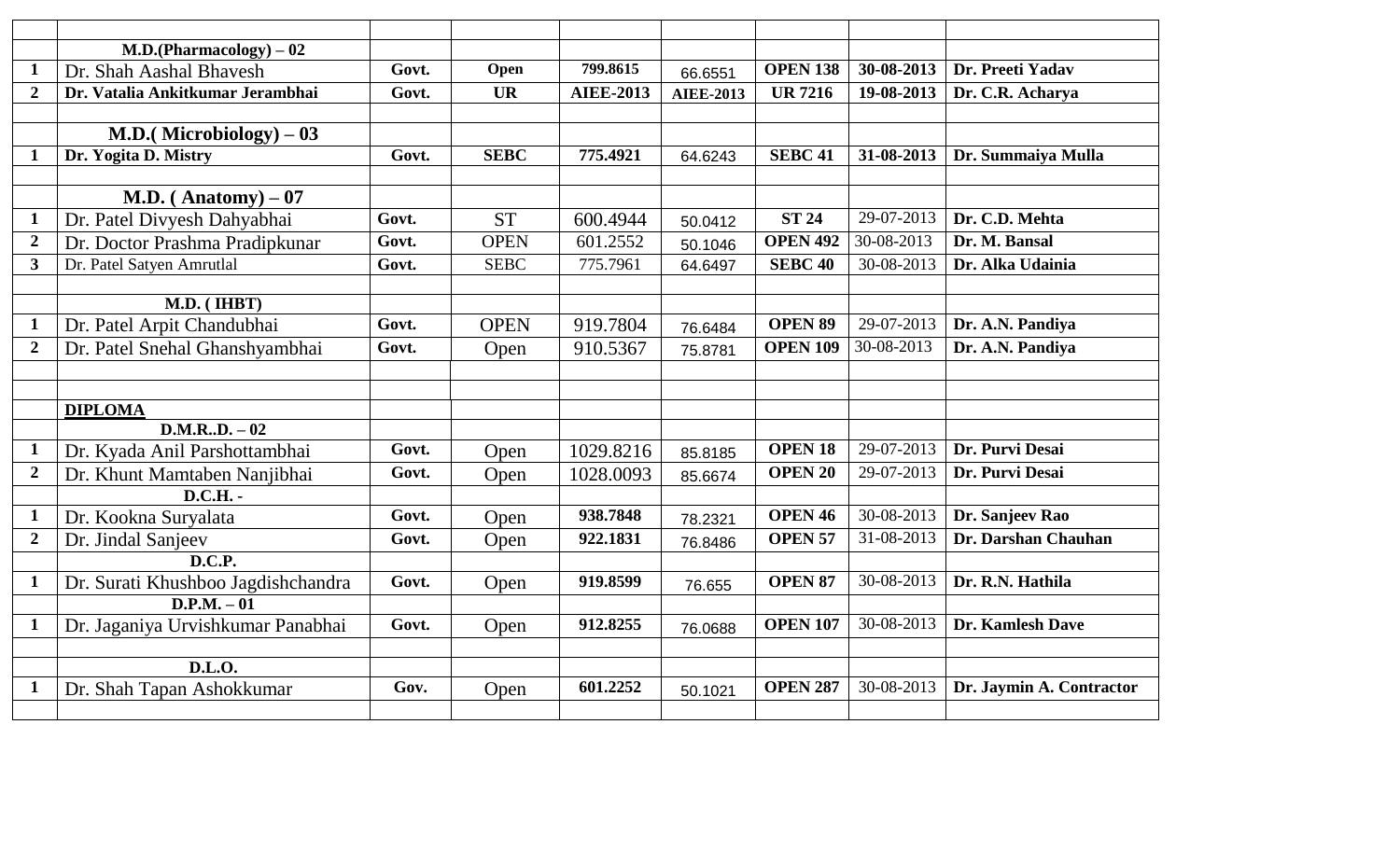|                  | $M.D.(Pharmacology) - 02$          |       |             |                  |                  |                    |            |                          |
|------------------|------------------------------------|-------|-------------|------------------|------------------|--------------------|------------|--------------------------|
| $\mathbf 1$      | Dr. Shah Aashal Bhavesh            | Govt. | Open        | 799.8615         | 66.6551          | <b>OPEN 138</b>    | 30-08-2013 | Dr. Preeti Yadav         |
| $\overline{2}$   | Dr. Vatalia Ankitkumar Jerambhai   | Govt. | <b>UR</b>   | <b>AIEE-2013</b> | <b>AIEE-2013</b> | <b>UR 7216</b>     | 19-08-2013 | Dr. C.R. Acharya         |
|                  |                                    |       |             |                  |                  |                    |            |                          |
|                  | <b>M.D.</b> (Microbiology) $-03$   |       |             |                  |                  |                    |            |                          |
| -1               | Dr. Yogita D. Mistry               | Govt. | <b>SEBC</b> | 775.4921         | 64.6243          | <b>SEBC 41</b>     | 31-08-2013 | Dr. Summaiya Mulla       |
|                  |                                    |       |             |                  |                  |                    |            |                          |
|                  | M.D. (Anatomy) $-07$               |       |             |                  |                  |                    |            |                          |
| $\mathbf 1$      | Dr. Patel Divyesh Dahyabhai        | Govt. | <b>ST</b>   | 600.4944         | 50.0412          | <b>ST 24</b>       | 29-07-2013 | Dr. C.D. Mehta           |
| $\overline{2}$   | Dr. Doctor Prashma Pradipkunar     | Govt. | <b>OPEN</b> | 601.2552         | 50.1046          | <b>OPEN 492</b>    | 30-08-2013 | Dr. M. Bansal            |
| $\overline{3}$   | Dr. Patel Satyen Amrutlal          | Govt. | <b>SEBC</b> | 775.7961         | 64.6497          | <b>SEBC 40</b>     | 30-08-2013 | Dr. Alka Udainia         |
|                  |                                    |       |             |                  |                  |                    |            |                          |
|                  | M.D. (IHBT)                        |       |             |                  |                  |                    |            |                          |
| $\mathbf{1}$     | Dr. Patel Arpit Chandubhai         | Govt. | <b>OPEN</b> | 919.7804         | 76.6484          | <b>OPEN 89</b>     | 29-07-2013 | Dr. A.N. Pandiya         |
| $\boldsymbol{2}$ | Dr. Patel Snehal Ghanshyambhai     | Govt. | Open        | 910.5367         | 75.8781          | <b>OPEN 109</b>    | 30-08-2013 | Dr. A.N. Pandiya         |
|                  |                                    |       |             |                  |                  |                    |            |                          |
|                  |                                    |       |             |                  |                  |                    |            |                          |
|                  | <b>DIPLOMA</b>                     |       |             |                  |                  |                    |            |                          |
|                  | $D.M.R., D. - 02$                  |       |             |                  |                  |                    |            |                          |
| $\mathbf{1}$     | Dr. Kyada Anil Parshottambhai      | Govt. | Open        | 1029.8216        | 85.8185          | <b>OPEN 18</b>     | 29-07-2013 | Dr. Purvi Desai          |
| $\overline{2}$   | Dr. Khunt Mamtaben Nanjibhai       | Govt. | Open        | 1028.0093        | 85.6674          | <b>OPEN 20</b>     | 29-07-2013 | Dr. Purvi Desai          |
|                  | <b>D.C.H.</b> -                    |       |             |                  |                  |                    |            |                          |
| $\mathbf{1}$     | Dr. Kookna Suryalata               | Govt. | Open        | 938.7848         | 78.2321          | OPEN <sub>46</sub> | 30-08-2013 | Dr. Sanjeev Rao          |
| $\boldsymbol{2}$ | Dr. Jindal Sanjeev                 | Govt. | Open        | 922.1831         | 76.8486          | <b>OPEN 57</b>     | 31-08-2013 | Dr. Darshan Chauhan      |
|                  | D.C.P.                             |       |             |                  |                  |                    |            |                          |
| $\mathbf{1}$     | Dr. Surati Khushboo Jagdishchandra | Govt. | Open        | 919.8599         | 76.655           | <b>OPEN 87</b>     | 30-08-2013 | Dr. R.N. Hathila         |
|                  | $D.P.M. -01$                       |       |             |                  |                  |                    |            |                          |
| $\mathbf{1}$     | Dr. Jaganiya Urvishkumar Panabhai  | Govt. | Open        | 912.8255         | 76.0688          | <b>OPEN 107</b>    | 30-08-2013 | Dr. Kamlesh Dave         |
|                  |                                    |       |             |                  |                  |                    |            |                          |
|                  | D.L.O.                             |       |             |                  |                  |                    |            |                          |
| $\mathbf 1$      | Dr. Shah Tapan Ashokkumar          | Gov.  | Open        | 601.2252         | 50.1021          | <b>OPEN 287</b>    | 30-08-2013 | Dr. Jaymin A. Contractor |
|                  |                                    |       |             |                  |                  |                    |            |                          |